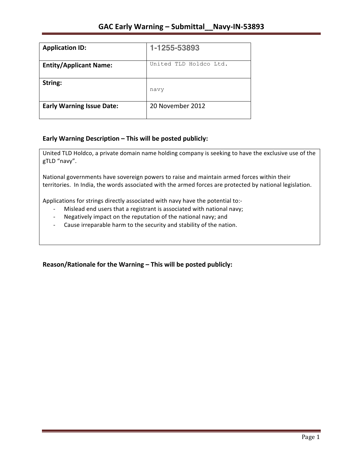| <b>Application ID:</b>           | 1-1255-53893           |
|----------------------------------|------------------------|
| <b>Entity/Applicant Name:</b>    | United TLD Holdco Ltd. |
| String:                          | navy                   |
| <b>Early Warning Issue Date:</b> | 20 November 2012       |

## **Early Warning Description – This will be posted publicly:**

United TLD Holdco, a private domain name holding company is seeking to have the exclusive use of the gTLD "navy".

National governments have sovereign powers to raise and maintain armed forces within their territories. In India, the words associated with the armed forces are protected by national legislation.

Applications for strings directly associated with navy have the potential to:-

- Mislead end users that a registrant is associated with national navy;
- Negatively impact on the reputation of the national navy; and
- Cause irreparable harm to the security and stability of the nation.

Reason/Rationale for the Warning – This will be posted publicly: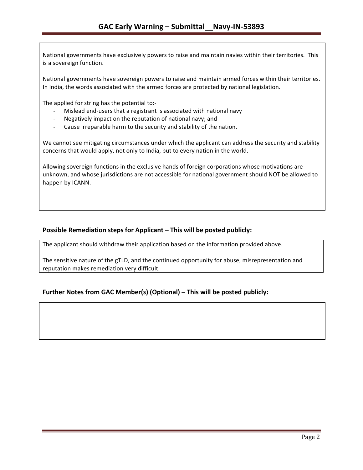National governments have exclusively powers to raise and maintain navies within their territories. This is a sovereign function.

National governments have sovereign powers to raise and maintain armed forces within their territories. In India, the words associated with the armed forces are protected by national legislation.

The applied for string has the potential to:-

- Mislead end-users that a registrant is associated with national navy
- Negatively impact on the reputation of national navy; and
- Cause irreparable harm to the security and stability of the nation.

We cannot see mitigating circumstances under which the applicant can address the security and stability concerns that would apply, not only to India, but to every nation in the world.

Allowing sovereign functions in the exclusive hands of foreign corporations whose motivations are unknown, and whose jurisdictions are not accessible for national government should NOT be allowed to happen by ICANN.

### **Possible Remediation steps for Applicant – This will be posted publicly:**

The applicant should withdraw their application based on the information provided above.

The sensitive nature of the gTLD, and the continued opportunity for abuse, misrepresentation and reputation makes remediation very difficult.

## **Further Notes from GAC Member(s) (Optional) – This will be posted publicly:**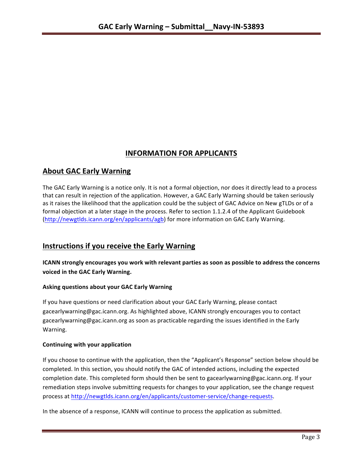# **INFORMATION FOR APPLICANTS**

## **About GAC Early Warning**

The GAC Early Warning is a notice only. It is not a formal objection, nor does it directly lead to a process that can result in rejection of the application. However, a GAC Early Warning should be taken seriously as it raises the likelihood that the application could be the subject of GAC Advice on New gTLDs or of a formal objection at a later stage in the process. Refer to section 1.1.2.4 of the Applicant Guidebook (http://newgtlds.icann.org/en/applicants/agb) for more information on GAC Early Warning.

## **Instructions if you receive the Early Warning**

**ICANN** strongly encourages you work with relevant parties as soon as possible to address the concerns **voiced in the GAC Early Warning.** 

## **Asking questions about your GAC Early Warning**

If you have questions or need clarification about your GAC Early Warning, please contact gacearlywarning@gac.icann.org. As highlighted above, ICANN strongly encourages you to contact gacearlywarning@gac.icann.org as soon as practicable regarding the issues identified in the Early Warning. 

## **Continuing with your application**

If you choose to continue with the application, then the "Applicant's Response" section below should be completed. In this section, you should notify the GAC of intended actions, including the expected completion date. This completed form should then be sent to gacearlywarning@gac.icann.org. If your remediation steps involve submitting requests for changes to your application, see the change request process at http://newgtlds.icann.org/en/applicants/customer-service/change-requests.

In the absence of a response, ICANN will continue to process the application as submitted.